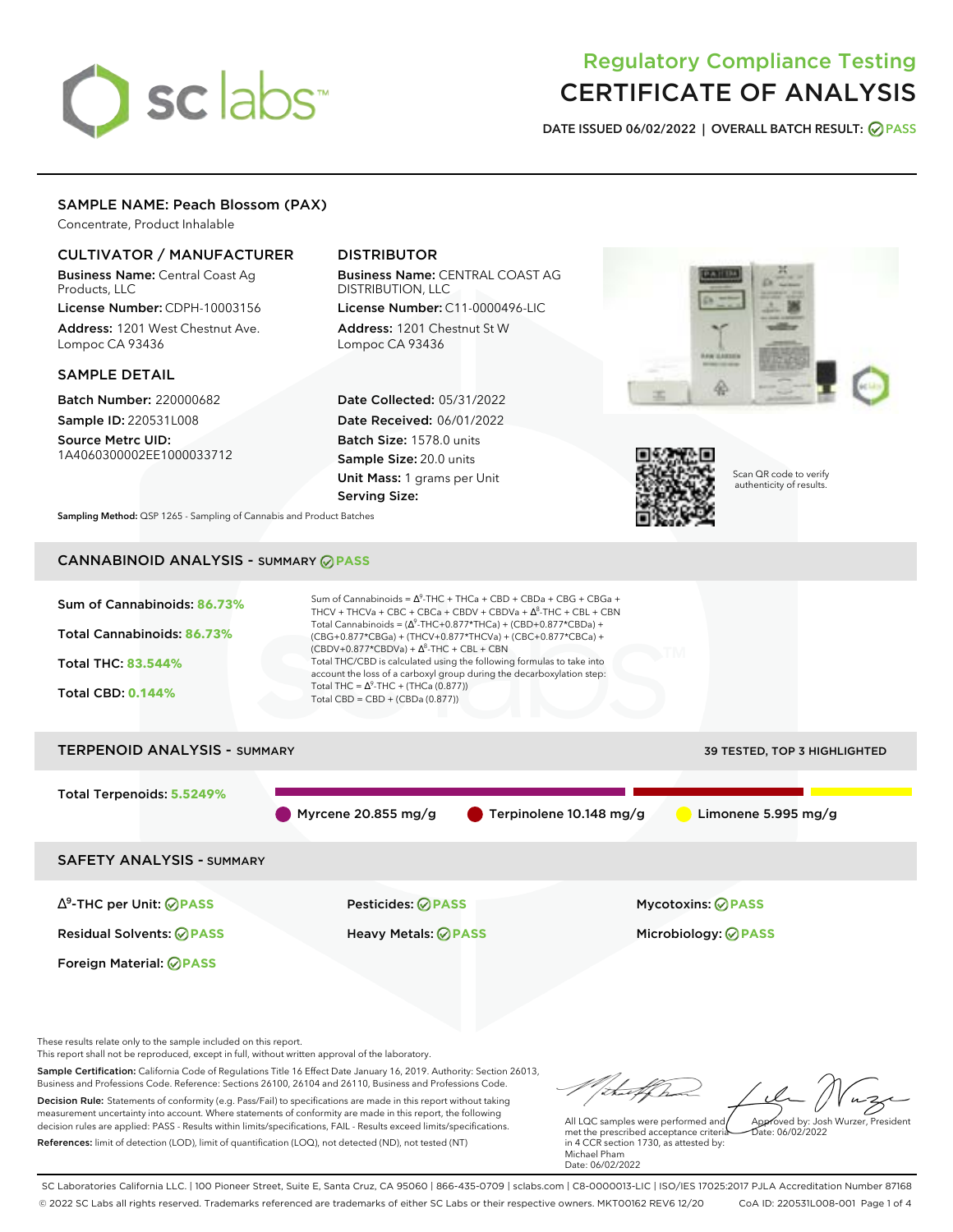# sclabs<sup>\*</sup>

# Regulatory Compliance Testing CERTIFICATE OF ANALYSIS

**DATE ISSUED 06/02/2022 | OVERALL BATCH RESULT: PASS**

# SAMPLE NAME: Peach Blossom (PAX)

Concentrate, Product Inhalable

# CULTIVATOR / MANUFACTURER

Business Name: Central Coast Ag Products, LLC

License Number: CDPH-10003156 Address: 1201 West Chestnut Ave. Lompoc CA 93436

# SAMPLE DETAIL

Batch Number: 220000682 Sample ID: 220531L008

Source Metrc UID: 1A4060300002EE1000033712

# DISTRIBUTOR

Business Name: CENTRAL COAST AG DISTRIBUTION, LLC License Number: C11-0000496-LIC

Address: 1201 Chestnut St W Lompoc CA 93436

Date Collected: 05/31/2022 Date Received: 06/01/2022 Batch Size: 1578.0 units Sample Size: 20.0 units Unit Mass: 1 grams per Unit Serving Size:





Scan QR code to verify authenticity of results.

**Sampling Method:** QSP 1265 - Sampling of Cannabis and Product Batches

# CANNABINOID ANALYSIS - SUMMARY **PASS**

| Sum of Cannabinoids: 86.73%<br>Total Cannabinoids: 86.73%<br><b>Total THC: 83.544%</b><br><b>Total CBD: 0.144%</b> | Sum of Cannabinoids = $\Lambda^9$ -THC + THCa + CBD + CBDa + CBG + CBGa +<br>THCV + THCVa + CBC + CBCa + CBDV + CBDVa + $\Delta^8$ -THC + CBL + CBN<br>Total Cannabinoids = $(\Delta^9$ -THC+0.877*THCa) + (CBD+0.877*CBDa) +<br>(CBG+0.877*CBGa) + (THCV+0.877*THCVa) + (CBC+0.877*CBCa) +<br>$(CBDV+0.877*CBDVa) + \Delta^8$ -THC + CBL + CBN<br>Total THC/CBD is calculated using the following formulas to take into<br>account the loss of a carboxyl group during the decarboxylation step:<br>Total THC = $\Delta^9$ -THC + (THCa (0.877))<br>Total CBD = CBD + (CBDa (0.877)) |                                     |
|--------------------------------------------------------------------------------------------------------------------|---------------------------------------------------------------------------------------------------------------------------------------------------------------------------------------------------------------------------------------------------------------------------------------------------------------------------------------------------------------------------------------------------------------------------------------------------------------------------------------------------------------------------------------------------------------------------------------|-------------------------------------|
| <b>TERPENOID ANALYSIS - SUMMARY</b>                                                                                |                                                                                                                                                                                                                                                                                                                                                                                                                                                                                                                                                                                       | <b>39 TESTED, TOP 3 HIGHLIGHTED</b> |
| Total Terpenoids: 5.5249%                                                                                          | Myrcene 20.855 mg/g<br>$\blacksquare$ Terpinolene 10.148 mg/g                                                                                                                                                                                                                                                                                                                                                                                                                                                                                                                         | Limonene 5.995 mg/g                 |
|                                                                                                                    |                                                                                                                                                                                                                                                                                                                                                                                                                                                                                                                                                                                       |                                     |

SAFETY ANALYSIS - SUMMARY

∆ 9 -THC per Unit: **PASS** Pesticides: **PASS** Mycotoxins: **PASS**

Foreign Material: **PASS**

Residual Solvents: **PASS** Heavy Metals: **PASS** Microbiology: **PASS**

These results relate only to the sample included on this report.

This report shall not be reproduced, except in full, without written approval of the laboratory.

Sample Certification: California Code of Regulations Title 16 Effect Date January 16, 2019. Authority: Section 26013, Business and Professions Code. Reference: Sections 26100, 26104 and 26110, Business and Professions Code. Decision Rule: Statements of conformity (e.g. Pass/Fail) to specifications are made in this report without taking measurement uncertainty into account. Where statements of conformity are made in this report, the following decision rules are applied: PASS - Results within limits/specifications, FAIL - Results exceed limits/specifications.

References: limit of detection (LOD), limit of quantification (LOQ), not detected (ND), not tested (NT)

tal f ha Approved by: Josh Wurzer, President

 $hat: 06/02/2022$ 

All LQC samples were performed and met the prescribed acceptance criteria in 4 CCR section 1730, as attested by: Michael Pham Date: 06/02/2022

SC Laboratories California LLC. | 100 Pioneer Street, Suite E, Santa Cruz, CA 95060 | 866-435-0709 | sclabs.com | C8-0000013-LIC | ISO/IES 17025:2017 PJLA Accreditation Number 87168 © 2022 SC Labs all rights reserved. Trademarks referenced are trademarks of either SC Labs or their respective owners. MKT00162 REV6 12/20 CoA ID: 220531L008-001 Page 1 of 4